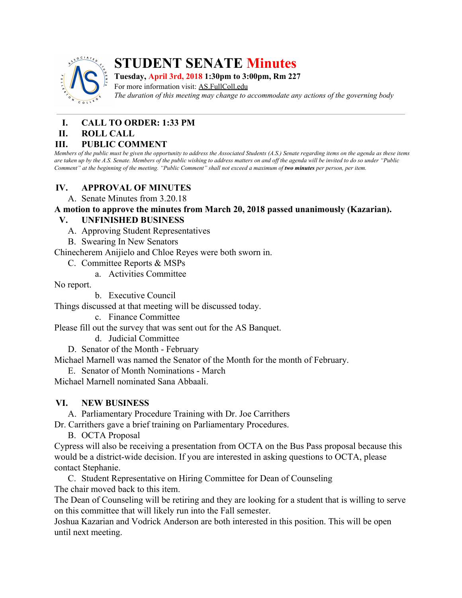

# **STUDENT SENATE Minutes**

**Tuesday, April 3rd, 2018 1:30pm to 3:00pm, Rm 227**

For more information visit: AS.FullColl.edu *The duration of this meeting may change to accommodate any actions of the governing body*

## **I. CALL TO ORDER: 1:33 PM**

#### **II. ROLL CALL**

#### **III. PUBLIC COMMENT**

Members of the public must be given the opportunity to address the Associated Students (A.S.) Senate regarding items on the agenda as these items are taken up by the A.S. Senate. Members of the public wishing to address matters on and off the agenda will be invited to do so under "Public Comment" at the beginning of the meeting. "Public Comment" shall not exceed a maximum of two minutes per person, per item.

## **IV. APPROVAL OF MINUTES**

A. Senate Minutes from 3.20.18

#### **A motion to approve the minutes from March 20, 2018 passed unanimously (Kazarian).**

## **V. UNFINISHED BUSINESS**

- A. Approving Student Representatives
- B. Swearing In New Senators

Chinecherem Anijielo and Chloe Reyes were both sworn in.

- C. Committee Reports & MSPs
	- a. Activities Committee

No report.

b. Executive Council

Things discussed at that meeting will be discussed today.

c. Finance Committee

Please fill out the survey that was sent out for the AS Banquet.

- d. Judicial Committee
- D. Senator of the Month February

Michael Marnell was named the Senator of the Month for the month of February.

E. Senator of Month Nominations - March

Michael Marnell nominated Sana Abbaali.

## **VI. NEW BUSINESS**

A. Parliamentary Procedure Training with Dr. Joe Carrithers

Dr. Carrithers gave a brief training on Parliamentary Procedures.

B. OCTA Proposal

Cypress will also be receiving a presentation from OCTA on the Bus Pass proposal because this would be a district-wide decision. If you are interested in asking questions to OCTA, please contact Stephanie.

C. Student Representative on Hiring Committee for Dean of Counseling The chair moved back to this item.

The Dean of Counseling will be retiring and they are looking for a student that is willing to serve on this committee that will likely run into the Fall semester.

Joshua Kazarian and Vodrick Anderson are both interested in this position. This will be open until next meeting.